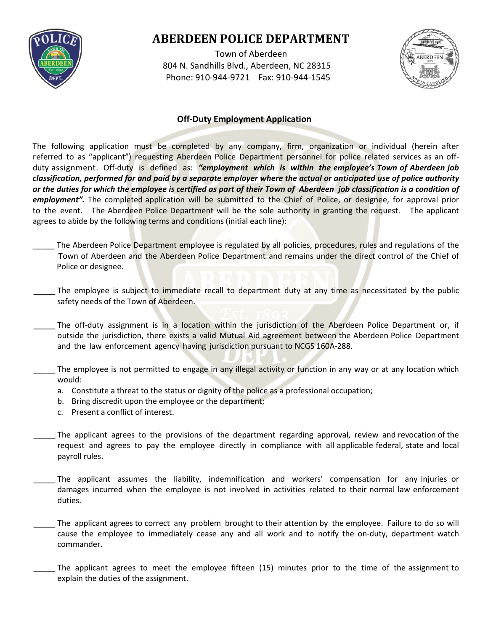

# **ABERDEEN POLICE DEPARTMENT**

 Town of Aberdeen 804 N. Sandhills Blvd., Aberdeen, NC 28315 Phone: 910-944-9721 Fax: 910-944-1545



#### **Off-Duty Employment Application**

The following application must be completed by any company, firm, organization or individual (herein after referred to as "applicant") requesting Aberdeen Police Department personnel for police related services as an offduty assignment. Off-duty is defined as: *"employment which is within the employee's Town of Aberdeen job classification, performed for and paid by a separate employer where the actual or anticipated use of police authority or the duties for which the employee is certified as part of their Town of Aberdeen job classification is a condition of employment".* The completed application will be submitted to the Chief of Police, or designee, for approval prior to the event. The Aberdeen Police Department will be the sole authority in granting the request. The applicant agrees to abide by the following terms and conditions (initial each line):

- The Aberdeen Police Department employee is regulated by all policies, procedures, rules and regulations of the Town of Aberdeen and the Aberdeen Police Department and remains under the direct control of the Chief of Police or designee.
- The employee is subject to immediate recall to department duty at any time as necessitated by the public safety needs of the Town of Aberdeen.
- The off-duty assignment is in a location within the jurisdiction of the Aberdeen Police Department or, if outside the jurisdiction, there exists a valid Mutual Aid agreement between the Aberdeen Police Department and the law enforcement agency having jurisdiction pursuant to NCGS 160A-288.
- The employee is not permitted to engage in any illegal activity or function in any way or at any location which would:
	- a. Constitute a threat to the status or dignity of the police as a professional occupation;
	- b. Bring discredit upon the employee or the department;
	- c. Present a conflict of interest.
- The applicant agrees to the provisions of the department regarding approval, review and revocation of the request and agrees to pay the employee directly in compliance with all applicable federal, state and local payroll rules.
- The applicant assumes the liability, indemnification and workers' compensation for any injuries or damages incurred when the employee is not involved in activities related to their normal law enforcement duties.
- The applicant agrees to correct any problem brought to their attention by the employee. Failure to do so will cause the employee to immediately cease any and all work and to notify the on-duty, department watch commander.
- The applicant agrees to meet the employee fifteen (15) minutes prior to the time of the assignment to explain the duties of the assignment.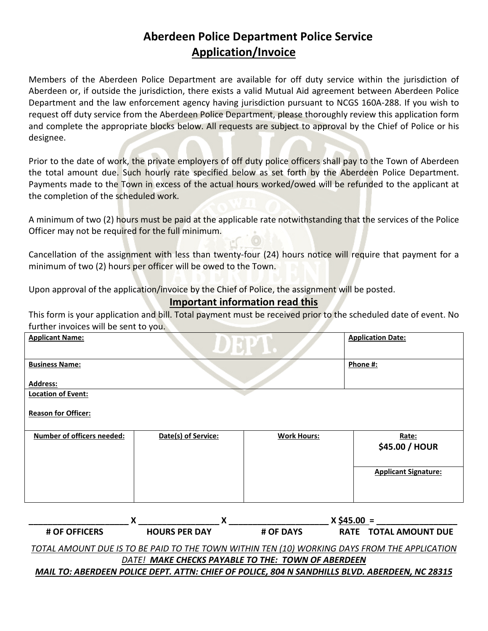## **Aberdeen Police Department Police Service Application/Invoice**

Members of the Aberdeen Police Department are available for off duty service within the jurisdiction of Aberdeen or, if outside the jurisdiction, there exists a valid Mutual Aid agreement between Aberdeen Police Department and the law enforcement agency having jurisdiction pursuant to NCGS 160A-288. If you wish to request off duty service from the Aberdeen Police Department, please thoroughly review this application form and complete the appropriate blocks below. All requests are subject to approval by the Chief of Police or his designee.

Prior to the date of work, the private employers of off duty police officers shall pay to the Town of Aberdeen the total amount due. Such hourly rate specified below as set forth by the Aberdeen Police Department. Payments made to the Town in excess of the actual hours worked/owed will be refunded to the applicant at the completion of the scheduled work.

A minimum of two (2) hours must be paid at the applicable rate notwithstanding that the services of the Police Officer may not be required for the full minimum.

Cancellation of the assignment with less than twenty-four (24) hours notice will require that payment for a minimum of two (2) hours per officer will be owed to the Town.

Upon approval of the application/invoice by the Chief of Police, the assignment will be posted.

### **Important information read this**

This form is your application and bill. Total payment must be received prior to the scheduled date of event. No further invoices will be sent to you.

| <b>Applicant Name:</b>            | $\epsilon$          | <b>Application Date:</b> |                             |
|-----------------------------------|---------------------|--------------------------|-----------------------------|
| <b>Business Name:</b>             |                     | Phone #:                 |                             |
| <b>Address:</b>                   |                     |                          |                             |
| <b>Location of Event:</b>         |                     |                          |                             |
| <b>Reason for Officer:</b>        |                     |                          |                             |
| <b>Number of officers needed:</b> | Date(s) of Service: | <b>Work Hours:</b>       | Rate:<br>\$45.00 / HOUR     |
|                                   |                     |                          | <b>Applicant Signature:</b> |
|                                   |                     |                          |                             |

|                                                                                              |                                                    |                  | $X$ \$45.00 = |                       |  |
|----------------------------------------------------------------------------------------------|----------------------------------------------------|------------------|---------------|-----------------------|--|
| <b># OF OFFICERS</b>                                                                         | <b>HOURS PER DAY</b>                               | <b># OF DAYS</b> |               | RATE TOTAL AMOUNT DUE |  |
| TOTAL AMOUNT DUE IS TO BE PAID TO THE TOWN WITHIN TEN (10) WORKING DAYS FROM THE APPLICATION |                                                    |                  |               |                       |  |
|                                                                                              | DATE! MAKE CHECKS PAYABLE TO THE: TOWN OF ABERDEEN |                  |               |                       |  |

### *MAIL TO: ABERDEEN POLICE DEPT. ATTN: CHIEF OF POLICE, 804 N SANDHILLS BLVD. ABERDEEN, NC 28315*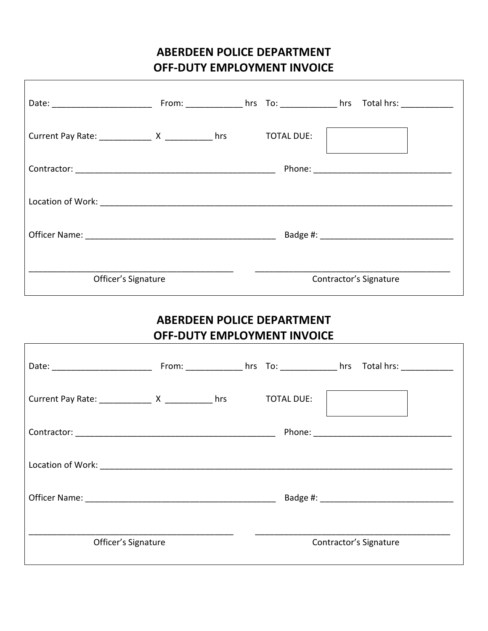### **ABERDEEN POLICE DEPARTMENT OFF-DUTY EMPLOYMENT INVOICE**

| Current Pay Rate: ________________ X ______________ hrs |  | <b>TOTAL DUE:</b> |                        |
|---------------------------------------------------------|--|-------------------|------------------------|
|                                                         |  |                   |                        |
|                                                         |  |                   |                        |
|                                                         |  |                   |                        |
| Officer's Signature                                     |  |                   | Contractor's Signature |

### **ABERDEEN POLICE DEPARTMENT OFF-DUTY EMPLOYMENT INVOICE**

Г

| Current Pay Rate: _______________ X _____________ hrs |  | <b>TOTAL DUE:</b> |                        |  |
|-------------------------------------------------------|--|-------------------|------------------------|--|
|                                                       |  |                   |                        |  |
|                                                       |  |                   |                        |  |
|                                                       |  |                   |                        |  |
| Officer's Signature                                   |  |                   | Contractor's Signature |  |